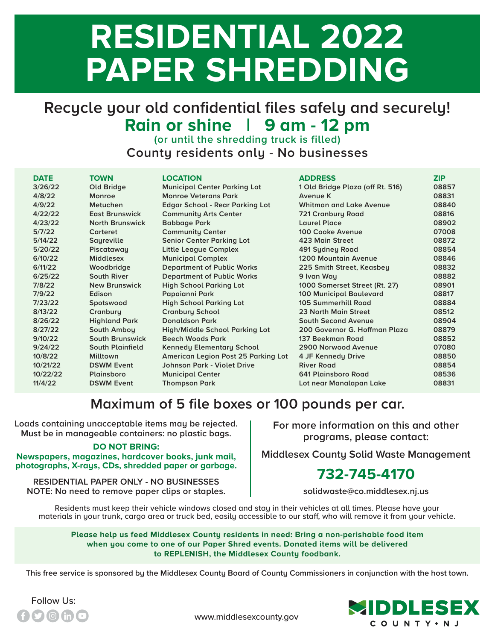# **RESIDENTIAL 2022 PAPER SHREDDING**

## **Recycle your old confidential files safely and securely! Rain or shine | 9 am - 12 pm**

**(or until the shredding truck is filled) County residents only - No businesses**

| <b>DATE</b> | <b>TOWN</b>             | <b>LOCATION</b>                        | <b>ADDRESS</b>                   | <b>ZIP</b> |
|-------------|-------------------------|----------------------------------------|----------------------------------|------------|
| 3/26/22     | Old Bridge              | <b>Municipal Center Parking Lot</b>    | 1 Old Bridge Plaza (off Rt. 516) | 08857      |
| 4/8/22      | Monroe                  | <b>Monroe Veterans Park</b>            | Avenue K                         | 08831      |
| 4/9/22      | Metuchen                | <b>Edgar School - Rear Parking Lot</b> | Whitman and Lake Avenue          | 08840      |
| 4/22/22     | <b>East Brunswick</b>   | <b>Community Arts Center</b>           | 721 Cranbury Road                | 08816      |
| 4/23/22     | <b>North Brunswick</b>  | <b>Babbage Park</b>                    | Laurel Place                     | 08902      |
| 5/7/22      | Carteret                | <b>Community Center</b>                | 100 Cooke Avenue                 | 07008      |
| 5/14/22     | Sayreville              | <b>Senior Center Parking Lot</b>       | 423 Main Street                  | 08872      |
| 5/20/22     | Piscataway              | <b>Little League Complex</b>           | 491 Sydney Road                  | 08854      |
| 6/10/22     | <b>Middlesex</b>        | <b>Municipal Complex</b>               | <b>1200 Mountain Avenue</b>      | 08846      |
| 6/11/22     | Woodbridge              | <b>Department of Public Works</b>      | 225 Smith Street, Keasbey        | 08832      |
| 6/25/22     | <b>South River</b>      | <b>Department of Public Works</b>      | 9 Ivan Way                       | 08882      |
| 7/8/22      | <b>New Brunswick</b>    | <b>High School Parking Lot</b>         | 1000 Somerset Street (Rt. 27)    | 08901      |
| 7/9/22      | Edison                  | Papaianni Park                         | <b>100 Municipal Boulevard</b>   | 08817      |
| 7/23/22     | Spotswood               | <b>High School Parking Lot</b>         | 105 Summerhill Road              | 08884      |
| 8/13/22     | Cranbury                | <b>Cranbury School</b>                 | 23 North Main Street             | 08512      |
| 8/26/22     | <b>Highland Park</b>    | <b>Donaldson Park</b>                  | <b>South Second Avenue</b>       | 08904      |
| 8/27/22     | South Amboy             | <b>High/Middle School Parking Lot</b>  | 200 Governor G. Hoffman Plaza    | 08879      |
| 9/10/22     | <b>South Brunswick</b>  | <b>Beech Woods Park</b>                | 137 Beekman Road                 | 08852      |
| 9/24/22     | <b>South Plainfield</b> | <b>Kennedy Elementary School</b>       | 2900 Norwood Avenue              | 07080      |
| 10/8/22     | <b>Milltown</b>         | American Legion Post 25 Parking Lot    | 4 JF Kennedy Drive               | 08850      |
| 10/21/22    | <b>DSWM Event</b>       | Johnson Park - Violet Drive            | <b>River Road</b>                | 08854      |
| 10/22/22    | Plainsboro              | <b>Municipal Center</b>                | 641 Plainsboro Road              | 08536      |
| 11/4/22     | <b>DSWM Event</b>       | <b>Thompson Park</b>                   | Lot near Manalapan Lake          | 08831      |

### **Maximum of 5 file boxes or 100 pounds per car.**

**Loads containing unacceptable items may be rejected. Must be in manageable containers: no plastic bags.**

#### **DO NOT BRING:**

**Newspapers, magazines, hardcover books, junk mail, photographs, X-rays, CDs, shredded paper or garbage.**

**RESIDENTIAL PAPER ONLY - NO BUSINESSES NOTE: No need to remove paper clips or staples.**

Follow Us:

**For more information on this and other programs, please contact:**

**Middlesex County Solid Waste Management**

#### **732-745-4170**

**solidwaste@co.middlesex.nj.us**

Residents must keep their vehicle windows closed and stay in their vehicles at all times. Please have your materials in your trunk, cargo area or truck bed, easily accessible to our staff, who will remove it from your vehicle.

**Please help us feed Middlesex County residents in need: Bring a non-perishable food item when you come to one of our Paper Shred events. Donated items will be delivered to REPLENISH, the Middlesex County foodbank.**

**This free service is sponsored by the Middlesex County Board of County Commissioners in conjunction with the host town.**



www.middlesexcounty.gov